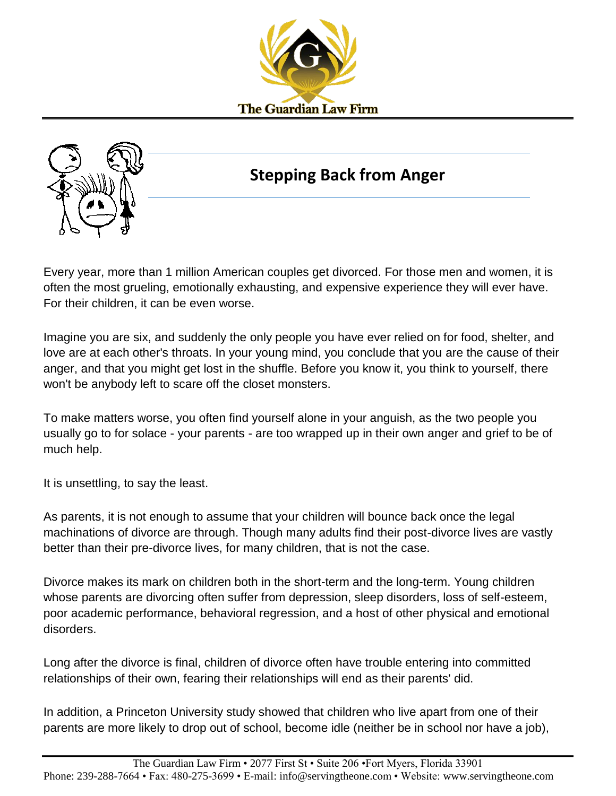



## **Stepping Back from Anger**

Every year, more than 1 million American couples get divorced. For those men and women, it is often the most grueling, emotionally exhausting, and expensive experience they will ever have. For their children, it can be even worse.

Imagine you are six, and suddenly the only people you have ever relied on for food, shelter, and love are at each other's throats. In your young mind, you conclude that you are the cause of their anger, and that you might get lost in the shuffle. Before you know it, you think to yourself, there won't be anybody left to scare off the closet monsters.

To make matters worse, you often find yourself alone in your anguish, as the two people you usually go to for solace - your parents - are too wrapped up in their own anger and grief to be of much help.

It is unsettling, to say the least.

As parents, it is not enough to assume that your children will bounce back once the legal machinations of divorce are through. Though many adults find their post-divorce lives are vastly better than their pre-divorce lives, for many children, that is not the case.

Divorce makes its mark on children both in the short-term and the long-term. Young children whose parents are divorcing often suffer from depression, sleep disorders, loss of self-esteem, poor academic performance, behavioral regression, and a host of other physical and emotional disorders.

Long after the divorce is final, children of divorce often have trouble entering into committed relationships of their own, fearing their relationships will end as their parents' did.

In addition, a Princeton University study showed that children who live apart from one of their parents are more likely to drop out of school, become idle (neither be in school nor have a job),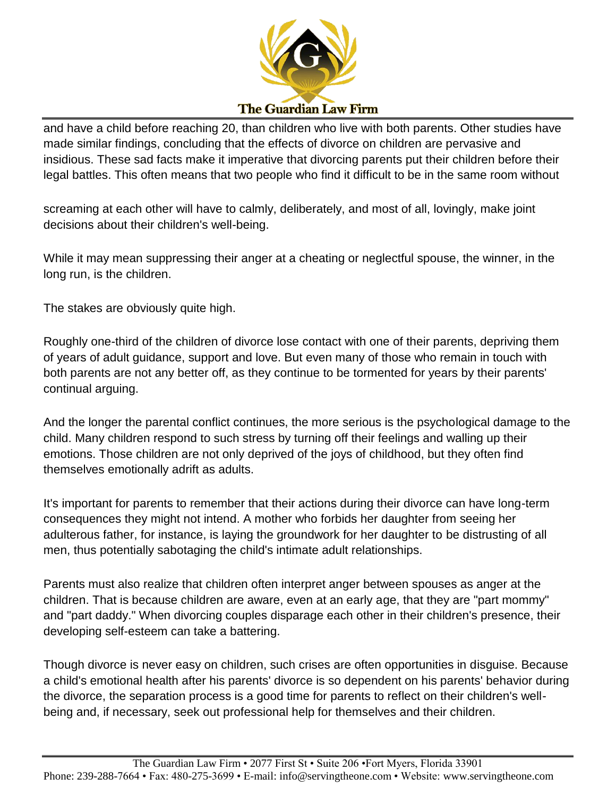

and have a child before reaching 20, than children who live with both parents. Other studies have made similar findings, concluding that the effects of divorce on children are pervasive and insidious. These sad facts make it imperative that divorcing parents put their children before their legal battles. This often means that two people who find it difficult to be in the same room without

screaming at each other will have to calmly, deliberately, and most of all, lovingly, make joint decisions about their children's well-being.

While it may mean suppressing their anger at a cheating or neglectful spouse, the winner, in the long run, is the children.

The stakes are obviously quite high.

Roughly one-third of the children of divorce lose contact with one of their parents, depriving them of years of adult guidance, support and love. But even many of those who remain in touch with both parents are not any better off, as they continue to be tormented for years by their parents' continual arguing.

And the longer the parental conflict continues, the more serious is the psychological damage to the child. Many children respond to such stress by turning off their feelings and walling up their emotions. Those children are not only deprived of the joys of childhood, but they often find themselves emotionally adrift as adults.

It's important for parents to remember that their actions during their divorce can have long-term consequences they might not intend. A mother who forbids her daughter from seeing her adulterous father, for instance, is laying the groundwork for her daughter to be distrusting of all men, thus potentially sabotaging the child's intimate adult relationships.

Parents must also realize that children often interpret anger between spouses as anger at the children. That is because children are aware, even at an early age, that they are "part mommy" and "part daddy." When divorcing couples disparage each other in their children's presence, their developing self-esteem can take a battering.

Though divorce is never easy on children, such crises are often opportunities in disguise. Because a child's emotional health after his parents' divorce is so dependent on his parents' behavior during the divorce, the separation process is a good time for parents to reflect on their children's wellbeing and, if necessary, seek out professional help for themselves and their children.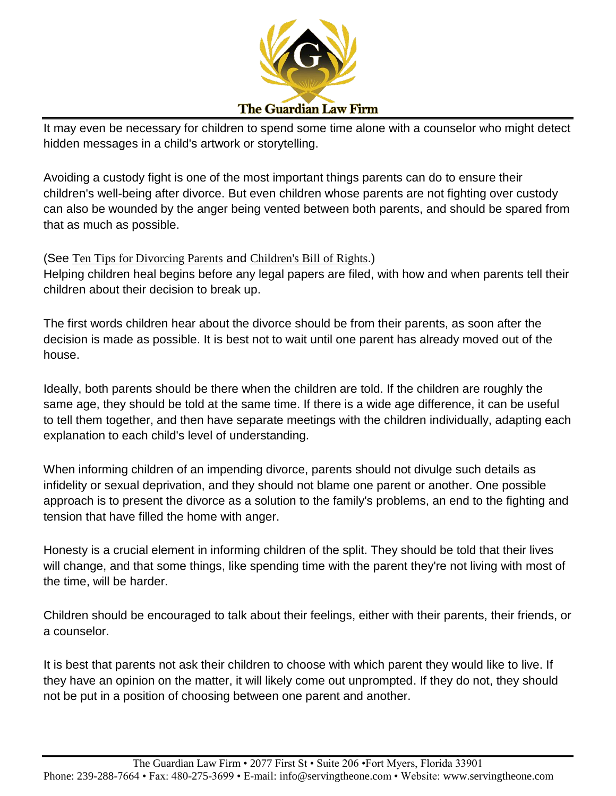

It may even be necessary for children to spend some time alone with a counselor who might detect hidden messages in a child's artwork or storytelling.

Avoiding a custody fight is one of the most important things parents can do to ensure their children's well-being after divorce. But even children whose parents are not fighting over custody can also be wounded by the anger being vented between both parents, and should be spared from that as much as possible.

## (See Ten Tips for [Divorcing](http://www.aamlflorida.org/index.cfm?fuseaction=pages.tentips) Parents and [Children's](http://www.aamlflorida.org/index.cfm?fuseaction=pages.childrensbillofrights) Bill of Rights.)

Helping children heal begins before any legal papers are filed, with how and when parents tell their children about their decision to break up.

The first words children hear about the divorce should be from their parents, as soon after the decision is made as possible. It is best not to wait until one parent has already moved out of the house.

Ideally, both parents should be there when the children are told. If the children are roughly the same age, they should be told at the same time. If there is a wide age difference, it can be useful to tell them together, and then have separate meetings with the children individually, adapting each explanation to each child's level of understanding.

When informing children of an impending divorce, parents should not divulge such details as infidelity or sexual deprivation, and they should not blame one parent or another. One possible approach is to present the divorce as a solution to the family's problems, an end to the fighting and tension that have filled the home with anger.

Honesty is a crucial element in informing children of the split. They should be told that their lives will change, and that some things, like spending time with the parent they're not living with most of the time, will be harder.

Children should be encouraged to talk about their feelings, either with their parents, their friends, or a counselor.

It is best that parents not ask their children to choose with which parent they would like to live. If they have an opinion on the matter, it will likely come out unprompted. If they do not, they should not be put in a position of choosing between one parent and another.